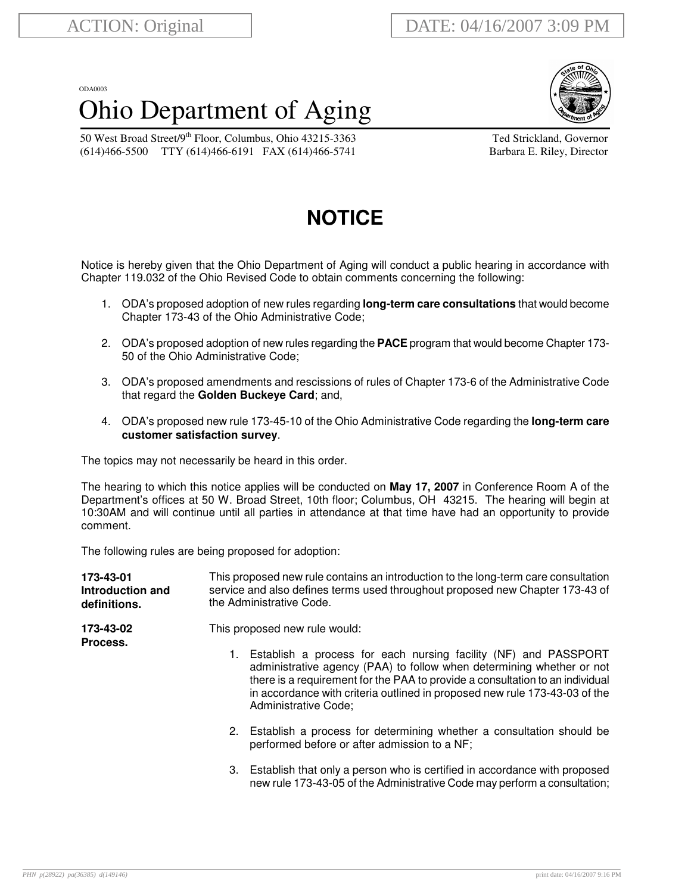## ODA0003 Ohio Department of Aging



50 West Broad Street/9<sup>th</sup> Floor, Columbus, Ohio 43215-3363 Ted Strickland, Governor (614)466-5500 TTY (614)466-6191 FAX (614)466-5741 Barbara E. Riley, Director

## **NOTICE**

Notice is hereby given that the Ohio Department of Aging will conduct a public hearing in accordance with Chapter 119.032 of the Ohio Revised Code to obtain comments concerning the following:

- 1. ODA's proposed adoption of new rules regarding **long-term care consultations** that would become Chapter 173-43 of the Ohio Administrative Code;
- 2. ODA's proposed adoption of new rules regarding the **PACE** program that would become Chapter 173- 50 of the Ohio Administrative Code;
- 3. ODA's proposed amendments and rescissions of rules of Chapter 173-6 of the Administrative Code that regard the **Golden Buckeye Card**; and,
- 4. ODA's proposed new rule 173-45-10 of the Ohio Administrative Code regarding the **long-term care customer satisfaction survey**.

The topics may not necessarily be heard in this order.

The hearing to which this notice applies will be conducted on **May 17, 2007** in Conference Room A of the Department's offices at 50 W. Broad Street, 10th floor; Columbus, OH 43215. The hearing will begin at 10:30AM and will continue until all parties in attendance at that time have had an opportunity to provide comment.

The following rules are being proposed for adoption:

| 173-43-01<br>Introduction and<br>definitions. | This proposed new rule contains an introduction to the long-term care consultation<br>service and also defines terms used throughout proposed new Chapter 173-43 of<br>the Administrative Code.<br>This proposed new rule would:                                                                                                             |  |  |
|-----------------------------------------------|----------------------------------------------------------------------------------------------------------------------------------------------------------------------------------------------------------------------------------------------------------------------------------------------------------------------------------------------|--|--|
| 173-43-02<br>Process.                         |                                                                                                                                                                                                                                                                                                                                              |  |  |
|                                               | Establish a process for each nursing facility (NF) and PASSPORT<br>1.<br>administrative agency (PAA) to follow when determining whether or not<br>there is a requirement for the PAA to provide a consultation to an individual<br>in accordance with criteria outlined in proposed new rule 173-43-03 of the<br><b>Administrative Code;</b> |  |  |
|                                               | 2. Establish a process for determining whether a consultation should be<br>performed before or after admission to a NF;                                                                                                                                                                                                                      |  |  |
|                                               | 3. Establish that only a person who is certified in accordance with proposed<br>new rule 173-43-05 of the Administrative Code may perform a consultation;                                                                                                                                                                                    |  |  |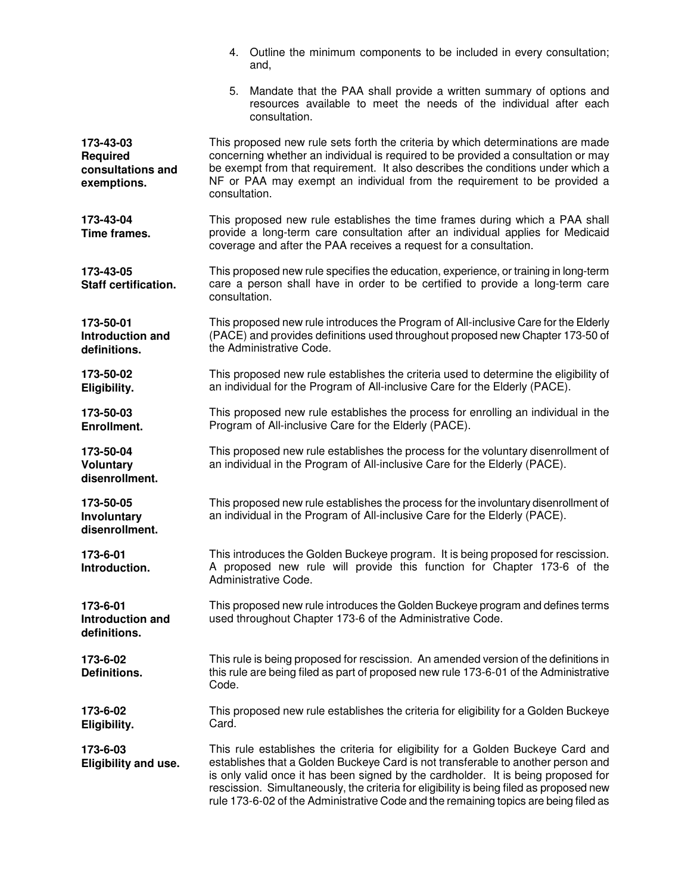|                                                                  | 4. Outline the minimum components to be included in every consultation;<br>and,                                                                                                                                                                                                                                                                                                                                                              |  |  |  |
|------------------------------------------------------------------|----------------------------------------------------------------------------------------------------------------------------------------------------------------------------------------------------------------------------------------------------------------------------------------------------------------------------------------------------------------------------------------------------------------------------------------------|--|--|--|
|                                                                  | Mandate that the PAA shall provide a written summary of options and<br>5.<br>resources available to meet the needs of the individual after each<br>consultation.                                                                                                                                                                                                                                                                             |  |  |  |
| 173-43-03<br><b>Required</b><br>consultations and<br>exemptions. | This proposed new rule sets forth the criteria by which determinations are made<br>concerning whether an individual is required to be provided a consultation or may<br>be exempt from that requirement. It also describes the conditions under which a<br>NF or PAA may exempt an individual from the requirement to be provided a<br>consultation.                                                                                         |  |  |  |
| 173-43-04<br>Time frames.                                        | This proposed new rule establishes the time frames during which a PAA shall<br>provide a long-term care consultation after an individual applies for Medicaid<br>coverage and after the PAA receives a request for a consultation.                                                                                                                                                                                                           |  |  |  |
| 173-43-05<br>Staff certification.                                | This proposed new rule specifies the education, experience, or training in long-term<br>care a person shall have in order to be certified to provide a long-term care<br>consultation.                                                                                                                                                                                                                                                       |  |  |  |
| 173-50-01<br>Introduction and<br>definitions.                    | This proposed new rule introduces the Program of All-inclusive Care for the Elderly<br>(PACE) and provides definitions used throughout proposed new Chapter 173-50 of<br>the Administrative Code.                                                                                                                                                                                                                                            |  |  |  |
| 173-50-02<br>Eligibility.                                        | This proposed new rule establishes the criteria used to determine the eligibility of<br>an individual for the Program of All-inclusive Care for the Elderly (PACE).                                                                                                                                                                                                                                                                          |  |  |  |
| 173-50-03<br>Enrollment.                                         | This proposed new rule establishes the process for enrolling an individual in the<br>Program of All-inclusive Care for the Elderly (PACE).                                                                                                                                                                                                                                                                                                   |  |  |  |
| 173-50-04<br><b>Voluntary</b><br>disenrollment.                  | This proposed new rule establishes the process for the voluntary disenrollment of<br>an individual in the Program of All-inclusive Care for the Elderly (PACE).                                                                                                                                                                                                                                                                              |  |  |  |
| 173-50-05<br>Involuntary<br>disenrollment.                       | This proposed new rule establishes the process for the involuntary disenrollment of<br>an individual in the Program of All-inclusive Care for the Elderly (PACE).                                                                                                                                                                                                                                                                            |  |  |  |
| 173-6-01<br>Introduction.                                        | This introduces the Golden Buckeye program. It is being proposed for rescission.<br>A proposed new rule will provide this function for Chapter 173-6 of the<br>Administrative Code.                                                                                                                                                                                                                                                          |  |  |  |
| 173-6-01<br>Introduction and<br>definitions.                     | This proposed new rule introduces the Golden Buckeye program and defines terms<br>used throughout Chapter 173-6 of the Administrative Code.                                                                                                                                                                                                                                                                                                  |  |  |  |
| 173-6-02<br>Definitions.                                         | This rule is being proposed for rescission. An amended version of the definitions in<br>this rule are being filed as part of proposed new rule 173-6-01 of the Administrative<br>Code.                                                                                                                                                                                                                                                       |  |  |  |
| 173-6-02<br>Eligibility.                                         | This proposed new rule establishes the criteria for eligibility for a Golden Buckeye<br>Card.                                                                                                                                                                                                                                                                                                                                                |  |  |  |
| 173-6-03<br>Eligibility and use.                                 | This rule establishes the criteria for eligibility for a Golden Buckeye Card and<br>establishes that a Golden Buckeye Card is not transferable to another person and<br>is only valid once it has been signed by the cardholder. It is being proposed for<br>rescission. Simultaneously, the criteria for eligibility is being filed as proposed new<br>rule 173-6-02 of the Administrative Code and the remaining topics are being filed as |  |  |  |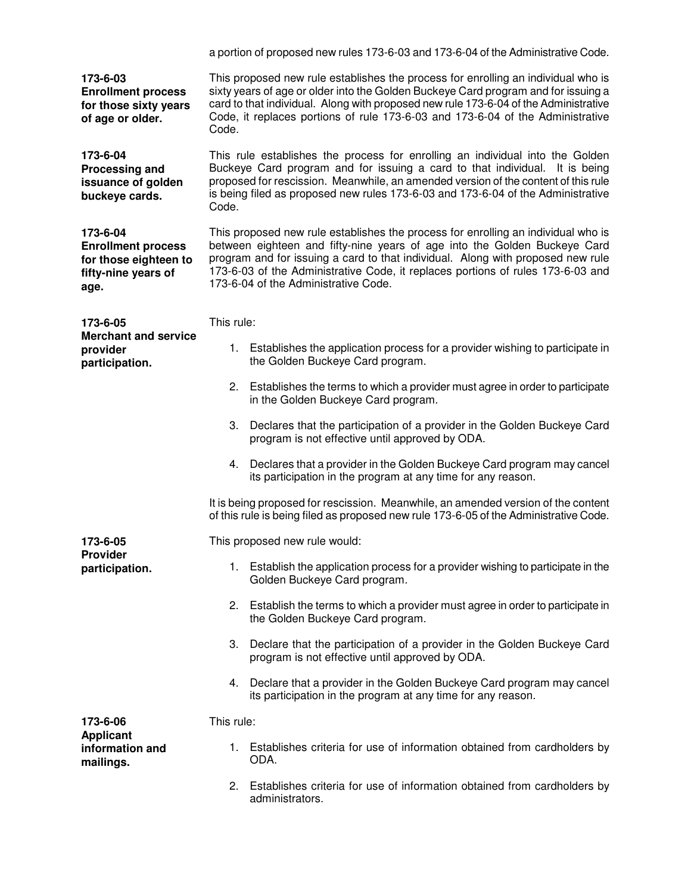a portion of proposed new rules 173-6-03 and 173-6-04 of the Administrative Code.

**173-6-03 Enrollment process for those sixty years of age or older.**

**173-6-04**

This proposed new rule establishes the process for enrolling an individual who is sixty years of age or older into the Golden Buckeye Card program and for issuing a card to that individual. Along with proposed new rule 173-6-04 of the Administrative Code, it replaces portions of rule 173-6-03 and 173-6-04 of the Administrative Code.

**Processing and issuance of golden buckeye cards.** This rule establishes the process for enrolling an individual into the Golden Buckeye Card program and for issuing a card to that individual. It is being proposed for rescission. Meanwhile, an amended version of the content of this rule is being filed as proposed new rules 173-6-03 and 173-6-04 of the Administrative Code.

**173-6-04 Enrollment process for those eighteen to fifty-nine years of age.**

This proposed new rule establishes the process for enrolling an individual who is between eighteen and fifty-nine years of age into the Golden Buckeye Card program and for issuing a card to that individual. Along with proposed new rule 173-6-03 of the Administrative Code, it replaces portions of rules 173-6-03 and 173-6-04 of the Administrative Code.

**173-6-05 Merchant and service provider participation.** This rule: 1. Establishes the application process for a provider wishing to participate in the Golden Buckeye Card program. 2. Establishes the terms to which a provider must agree in order to participate in the Golden Buckeye Card program. 3. Declares that the participation of a provider in the Golden Buckeye Card program is not effective until approved by ODA. 4. Declares that a provider in the Golden Buckeye Card program may cancel its participation in the program at any time for any reason. It is being proposed for rescission. Meanwhile, an amended version of the content of this rule is being filed as proposed new rule 173-6-05 of the Administrative Code. **173-6-05 Provider participation.** This proposed new rule would: 1. Establish the application process for a provider wishing to participate in the Golden Buckeye Card program. 2. Establish the terms to which a provider must agree in order to participate in the Golden Buckeye Card program. 3. Declare that the participation of a provider in the Golden Buckeye Card program is not effective until approved by ODA. 4. Declare that a provider in the Golden Buckeye Card program may cancel its participation in the program at any time for any reason. **173-6-06 Applicant information and mailings.** This rule: 1. Establishes criteria for use of information obtained from cardholders by ODA. 2. Establishes criteria for use of information obtained from cardholders by administrators.